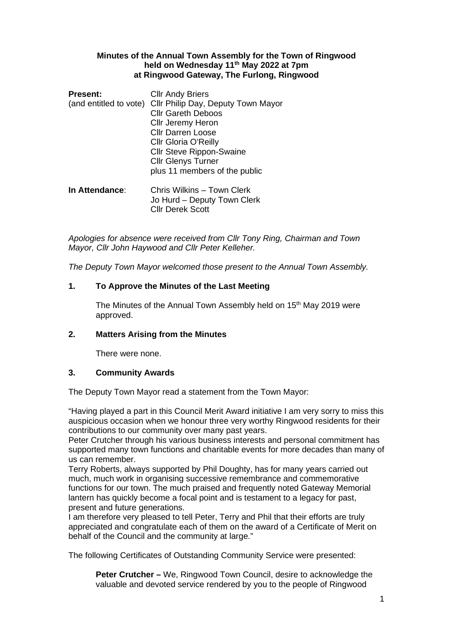#### **Minutes of the Annual Town Assembly for the Town of Ringwood held on Wednesday 11th May 2022 at 7pm at Ringwood Gateway, The Furlong, Ringwood**

| <b>Present:</b><br>(and entitled to vote) | <b>Cllr Andy Briers</b><br>Cllr Philip Day, Deputy Town Mayor<br><b>Cllr Gareth Deboos</b> |
|-------------------------------------------|--------------------------------------------------------------------------------------------|
|                                           | Cllr Jeremy Heron                                                                          |
|                                           | <b>Cllr Darren Loose</b>                                                                   |
|                                           | Cllr Gloria O'Reilly                                                                       |
|                                           | <b>Cllr Steve Rippon-Swaine</b>                                                            |
|                                           | <b>Cllr Glenys Turner</b>                                                                  |
|                                           | plus 11 members of the public                                                              |
| In Attendance:                            | Chris Wilkins - Town Clerk<br>Jo Hurd - Deputy Town Clerk<br><b>Cllr Derek Scott</b>       |

*Apologies for absence were received from Cllr Tony Ring, Chairman and Town Mayor, Cllr John Haywood and Cllr Peter Kelleher.* 

*The Deputy Town Mayor welcomed those present to the Annual Town Assembly.* 

## **1. To Approve the Minutes of the Last Meeting**

The Minutes of the Annual Town Assembly held on 15<sup>th</sup> May 2019 were approved.

## **2. Matters Arising from the Minutes**

There were none.

## **3. Community Awards**

The Deputy Town Mayor read a statement from the Town Mayor:

"Having played a part in this Council Merit Award initiative I am very sorry to miss this auspicious occasion when we honour three very worthy Ringwood residents for their contributions to our community over many past years.

Peter Crutcher through his various business interests and personal commitment has supported many town functions and charitable events for more decades than many of us can remember.

Terry Roberts, always supported by Phil Doughty, has for many years carried out much, much work in organising successive remembrance and commemorative functions for our town. The much praised and frequently noted Gateway Memorial lantern has quickly become a focal point and is testament to a legacy for past, present and future generations.

I am therefore very pleased to tell Peter, Terry and Phil that their efforts are truly appreciated and congratulate each of them on the award of a Certificate of Merit on behalf of the Council and the community at large."

The following Certificates of Outstanding Community Service were presented:

**Peter Crutcher –** We, Ringwood Town Council, desire to acknowledge the valuable and devoted service rendered by you to the people of Ringwood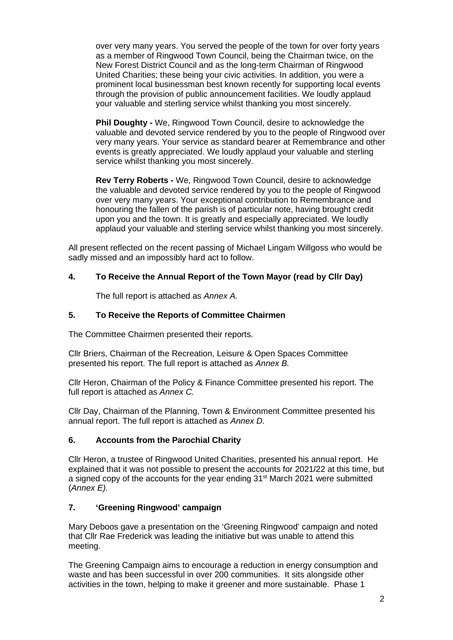over very many years. You served the people of the town for over forty years as a member of Ringwood Town Council, being the Chairman twice, on the New Forest District Council and as the long-term Chairman of Ringwood United Charities; these being your civic activities. In addition, you were a prominent local businessman best known recently for supporting local events through the provision of public announcement facilities. We loudly applaud your valuable and sterling service whilst thanking you most sincerely.

**Phil Doughty -** We, Ringwood Town Council, desire to acknowledge the valuable and devoted service rendered by you to the people of Ringwood over very many years. Your service as standard bearer at Remembrance and other events is greatly appreciated. We loudly applaud your valuable and sterling service whilst thanking you most sincerely.

**Rev Terry Roberts -** We, Ringwood Town Council, desire to acknowledge the valuable and devoted service rendered by you to the people of Ringwood over very many years. Your exceptional contribution to Remembrance and honouring the fallen of the parish is of particular note, having brought credit upon you and the town. It is greatly and especially appreciated. We loudly applaud your valuable and sterling service whilst thanking you most sincerely.

All present reflected on the recent passing of Michael Lingam Willgoss who would be sadly missed and an impossibly hard act to follow.

## **4. To Receive the Annual Report of the Town Mayor (read by Cllr Day)**

The full report is attached as *Annex A.*

## **5. To Receive the Reports of Committee Chairmen**

The Committee Chairmen presented their reports.

Cllr Briers, Chairman of the Recreation, Leisure & Open Spaces Committee presented his report. The full report is attached as *Annex B.*

Cllr Heron, Chairman of the Policy & Finance Committee presented his report. The full report is attached as *Annex C.* 

Cllr Day, Chairman of the Planning, Town & Environment Committee presented his annual report. The full report is attached as *Annex D.*

## **6. Accounts from the Parochial Charity**

Cllr Heron, a trustee of Ringwood United Charities, presented his annual report. He explained that it was not possible to present the accounts for 2021/22 at this time, but a signed copy of the accounts for the year ending 31st March 2021 were submitted (*Annex E).*

## **7. 'Greening Ringwood' campaign**

Mary Deboos gave a presentation on the 'Greening Ringwood' campaign and noted that Cllr Rae Frederick was leading the initiative but was unable to attend this meeting.

The Greening Campaign aims to encourage a reduction in energy consumption and waste and has been successful in over 200 communities. It sits alongside other activities in the town, helping to make it greener and more sustainable. Phase 1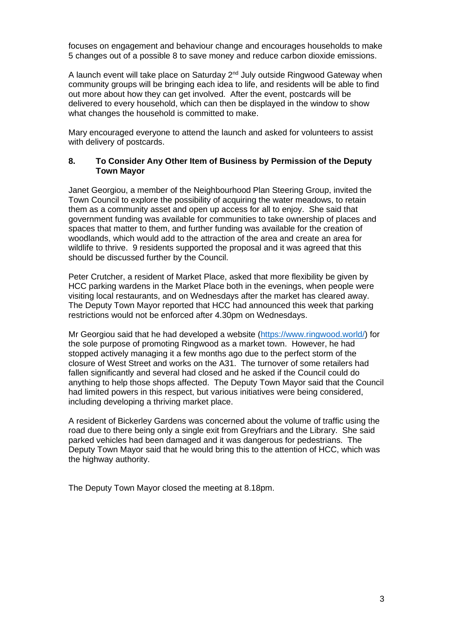focuses on engagement and behaviour change and encourages households to make 5 changes out of a possible 8 to save money and reduce carbon dioxide emissions.

A launch event will take place on Saturday  $2<sup>nd</sup>$  July outside Ringwood Gateway when community groups will be bringing each idea to life, and residents will be able to find out more about how they can get involved. After the event, postcards will be delivered to every household, which can then be displayed in the window to show what changes the household is committed to make.

Mary encouraged everyone to attend the launch and asked for volunteers to assist with delivery of postcards.

#### **8. To Consider Any Other Item of Business by Permission of the Deputy Town Mayor**

Janet Georgiou, a member of the Neighbourhood Plan Steering Group, invited the Town Council to explore the possibility of acquiring the water meadows, to retain them as a community asset and open up access for all to enjoy. She said that government funding was available for communities to take ownership of places and spaces that matter to them, and further funding was available for the creation of woodlands, which would add to the attraction of the area and create an area for wildlife to thrive. 9 residents supported the proposal and it was agreed that this should be discussed further by the Council.

Peter Crutcher, a resident of Market Place, asked that more flexibility be given by HCC parking wardens in the Market Place both in the evenings, when people were visiting local restaurants, and on Wednesdays after the market has cleared away. The Deputy Town Mayor reported that HCC had announced this week that parking restrictions would not be enforced after 4.30pm on Wednesdays.

Mr Georgiou said that he had developed a website [\(https://www.ringwood.world/\)](https://www.ringwood.world/) for the sole purpose of promoting Ringwood as a market town. However, he had stopped actively managing it a few months ago due to the perfect storm of the closure of West Street and works on the A31. The turnover of some retailers had fallen significantly and several had closed and he asked if the Council could do anything to help those shops affected. The Deputy Town Mayor said that the Council had limited powers in this respect, but various initiatives were being considered, including developing a thriving market place.

A resident of Bickerley Gardens was concerned about the volume of traffic using the road due to there being only a single exit from Greyfriars and the Library. She said parked vehicles had been damaged and it was dangerous for pedestrians. The Deputy Town Mayor said that he would bring this to the attention of HCC, which was the highway authority.

The Deputy Town Mayor closed the meeting at 8.18pm.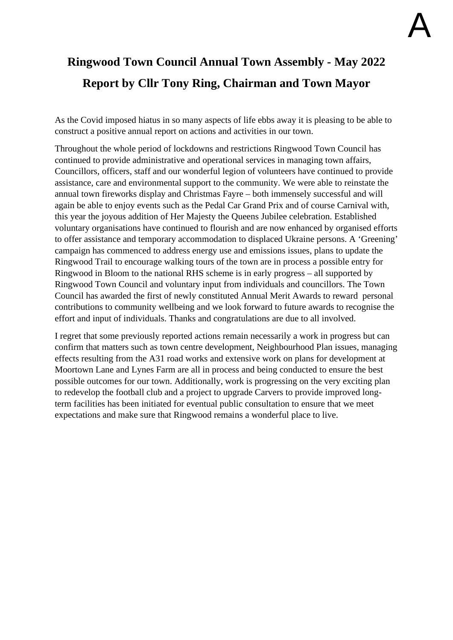# **Ringwood Town Council Annual Town Assembly - May 2022 Report by Cllr Tony Ring, Chairman and Town Mayor**

As the Covid imposed hiatus in so many aspects of life ebbs away it is pleasing to be able to construct a positive annual report on actions and activities in our town.

Throughout the whole period of lockdowns and restrictions Ringwood Town Council has continued to provide administrative and operational services in managing town affairs, Councillors, officers, staff and our wonderful legion of volunteers have continued to provide assistance, care and environmental support to the community. We were able to reinstate the annual town fireworks display and Christmas Fayre – both immensely successful and will again be able to enjoy events such as the Pedal Car Grand Prix and of course Carnival with, this year the joyous addition of Her Majesty the Queens Jubilee celebration. Established voluntary organisations have continued to flourish and are now enhanced by organised efforts to offer assistance and temporary accommodation to displaced Ukraine persons. A 'Greening' campaign has commenced to address energy use and emissions issues, plans to update the Ringwood Trail to encourage walking tours of the town are in process a possible entry for Ringwood in Bloom to the national RHS scheme is in early progress – all supported by Ringwood Town Council and voluntary input from individuals and councillors. The Town Council has awarded the first of newly constituted Annual Merit Awards to reward personal contributions to community wellbeing and we look forward to future awards to recognise the effort and input of individuals. Thanks and congratulations are due to all involved.

I regret that some previously reported actions remain necessarily a work in progress but can confirm that matters such as town centre development, Neighbourhood Plan issues, managing effects resulting from the A31 road works and extensive work on plans for development at Moortown Lane and Lynes Farm are all in process and being conducted to ensure the best possible outcomes for our town. Additionally, work is progressing on the very exciting plan to redevelop the football club and a project to upgrade Carvers to provide improved longterm facilities has been initiated for eventual public consultation to ensure that we meet expectations and make sure that Ringwood remains a wonderful place to live.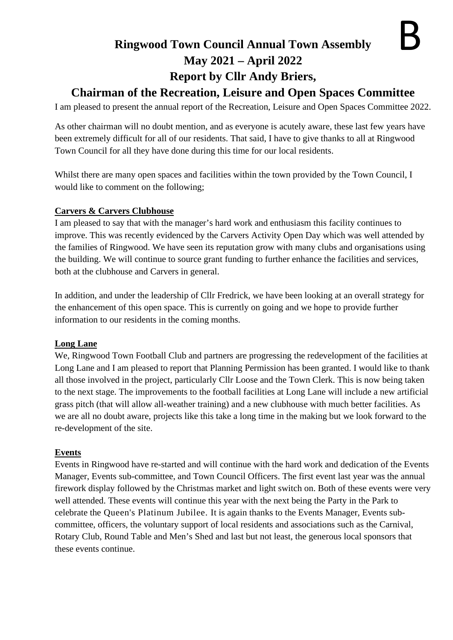## **Ringwood Town Council Annual Town Assembly May 2021 – April 2022 Report by Cllr Andy Briers,**

## **Chairman of the Recreation, Leisure and Open Spaces Committee**

I am pleased to present the annual report of the Recreation, Leisure and Open Spaces Committee 2022.

As other chairman will no doubt mention, and as everyone is acutely aware, these last few years have been extremely difficult for all of our residents. That said, I have to give thanks to all at Ringwood Town Council for all they have done during this time for our local residents.

Whilst there are many open spaces and facilities within the town provided by the Town Council, I would like to comment on the following;

## **Carvers & Carvers Clubhouse**

I am pleased to say that with the manager's hard work and enthusiasm this facility continues to improve. This was recently evidenced by the Carvers Activity Open Day which was well attended by the families of Ringwood. We have seen its reputation grow with many clubs and organisations using the building. We will continue to source grant funding to further enhance the facilities and services, both at the clubhouse and Carvers in general.

In addition, and under the leadership of Cllr Fredrick, we have been looking at an overall strategy for the enhancement of this open space. This is currently on going and we hope to provide further information to our residents in the coming months.

## **Long Lane**

We, Ringwood Town Football Club and partners are progressing the redevelopment of the facilities at Long Lane and I am pleased to report that Planning Permission has been granted. I would like to thank all those involved in the project, particularly Cllr Loose and the Town Clerk. This is now being taken to the next stage. The improvements to the football facilities at Long Lane will include a new artificial grass pitch (that will allow all-weather training) and a new clubhouse with much better facilities. As we are all no doubt aware, projects like this take a long time in the making but we look forward to the re-development of the site.

## **Events**

Events in Ringwood have re-started and will continue with the hard work and dedication of the Events Manager, Events sub-committee, and Town Council Officers. The first event last year was the annual firework display followed by the Christmas market and light switch on. Both of these events were very well attended. These events will continue this year with the next being the Party in the Park to celebrate the Queen's Platinum Jubilee. It is again thanks to the Events Manager, Events subcommittee, officers, the voluntary support of local residents and associations such as the Carnival, Rotary Club, Round Table and Men's Shed and last but not least, the generous local sponsors that these events continue.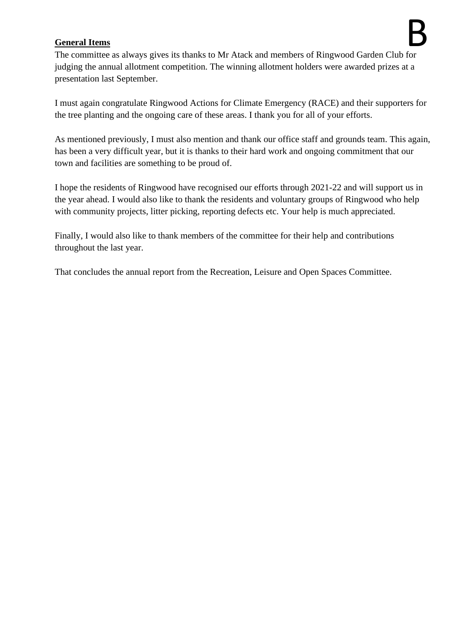## **General Items**

The committee as always gives its thanks to Mr Atack and members of Ringwood Garden Club for judging the annual allotment competition. The winning allotment holders were awarded prizes at a presentation last September.

I must again congratulate Ringwood Actions for Climate Emergency (RACE) and their supporters for the tree planting and the ongoing care of these areas. I thank you for all of your efforts.

As mentioned previously, I must also mention and thank our office staff and grounds team. This again, has been a very difficult year, but it is thanks to their hard work and ongoing commitment that our town and facilities are something to be proud of.

I hope the residents of Ringwood have recognised our efforts through 2021-22 and will support us in the year ahead. I would also like to thank the residents and voluntary groups of Ringwood who help with community projects, litter picking, reporting defects etc. Your help is much appreciated.

Finally, I would also like to thank members of the committee for their help and contributions throughout the last year.

That concludes the annual report from the Recreation, Leisure and Open Spaces Committee.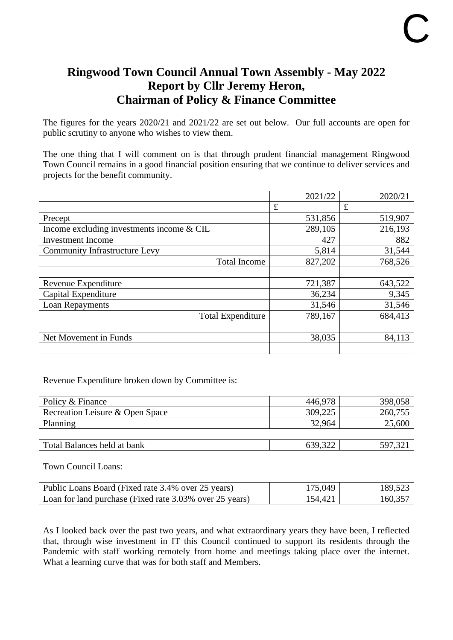## **Ringwood Town Council Annual Town Assembly - May 2022 Report by Cllr Jeremy Heron, Chairman of Policy & Finance Committee**

The figures for the years 2020/21 and 2021/22 are set out below. Our full accounts are open for public scrutiny to anyone who wishes to view them.

The one thing that I will comment on is that through prudent financial management Ringwood Town Council remains in a good financial position ensuring that we continue to deliver services and projects for the benefit community.

|                                             | 2021/22 | 2020/21 |
|---------------------------------------------|---------|---------|
|                                             | £       | £       |
| Precept                                     | 531,856 | 519,907 |
| Income excluding investments income $&$ CIL | 289,105 | 216,193 |
| Investment Income                           | 427     | 882     |
| <b>Community Infrastructure Levy</b>        | 5,814   | 31,544  |
| <b>Total Income</b>                         | 827,202 | 768,526 |
|                                             |         |         |
| Revenue Expenditure                         | 721,387 | 643,522 |
| Capital Expenditure                         | 36,234  | 9,345   |
| Loan Repayments                             | 31,546  | 31,546  |
| <b>Total Expenditure</b>                    | 789,167 | 684,413 |
|                                             |         |         |
| Net Movement in Funds                       | 38,035  | 84,113  |
|                                             |         |         |

Revenue Expenditure broken down by Committee is:

| Policy & Finance                | 446,978 | 398,058 |
|---------------------------------|---------|---------|
| Recreation Leisure & Open Space | 309,225 | 260,755 |
| Planning                        | 32.964  | 25,600  |
|                                 |         |         |
| Total Balances held at bank     | 639,322 | 597,32  |

Town Council Loans:

| Public Loans Board (Fixed rate 3.4% over 25 years)      | 175 049. | 189.523 |
|---------------------------------------------------------|----------|---------|
| Loan for land purchase (Fixed rate 3.03% over 25 years) | 54.421   | 160.357 |

As I looked back over the past two years, and what extraordinary years they have been, I reflected that, through wise investment in IT this Council continued to support its residents through the Pandemic with staff working remotely from home and meetings taking place over the internet. What a learning curve that was for both staff and Members.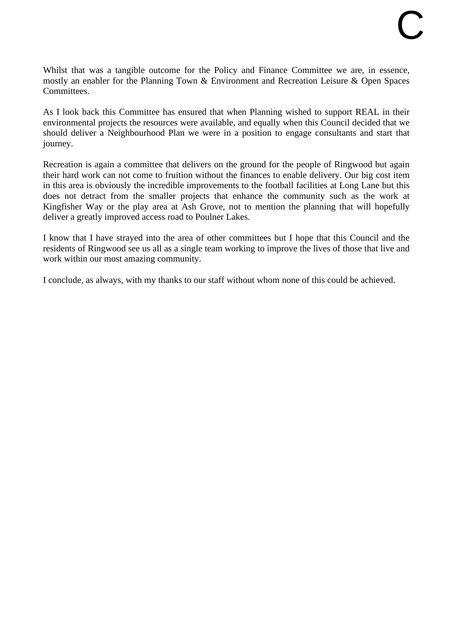Whilst that was a tangible outcome for the Policy and Finance Committee we are, in essence, mostly an enabler for the Planning Town & Environment and Recreation Leisure & Open Spaces Committees.

As I look back this Committee has ensured that when Planning wished to support REAL in their environmental projects the resources were available, and equally when this Council decided that we should deliver a Neighbourhood Plan we were in a position to engage consultants and start that journey.

Recreation is again a committee that delivers on the ground for the people of Ringwood but again their hard work can not come to fruition without the finances to enable delivery. Our big cost item in this area is obviously the incredible improvements to the football facilities at Long Lane but this does not detract from the smaller projects that enhance the community such as the work at Kingfisher Way or the play area at Ash Grove, not to mention the planning that will hopefully deliver a greatly improved access road to Poulner Lakes.

I know that I have strayed into the area of other committees but I hope that this Council and the residents of Ringwood see us all as a single team working to improve the lives of those that live and work within our most amazing community.

I conclude, as always, with my thanks to our staff without whom none of this could be achieved.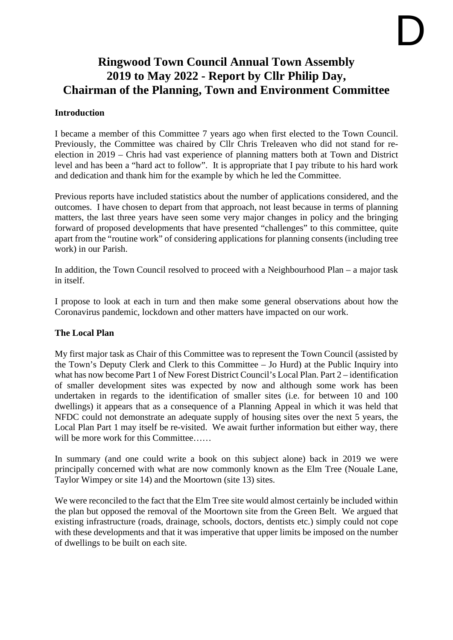# D

## **Ringwood Town Council Annual Town Assembly 2019 to May 2022 - Report by Cllr Philip Day, Chairman of the Planning, Town and Environment Committee**

## **Introduction**

I became a member of this Committee 7 years ago when first elected to the Town Council. Previously, the Committee was chaired by Cllr Chris Treleaven who did not stand for reelection in 2019 – Chris had vast experience of planning matters both at Town and District level and has been a "hard act to follow". It is appropriate that I pay tribute to his hard work and dedication and thank him for the example by which he led the Committee.

Previous reports have included statistics about the number of applications considered, and the outcomes. I have chosen to depart from that approach, not least because in terms of planning matters, the last three years have seen some very major changes in policy and the bringing forward of proposed developments that have presented "challenges" to this committee, quite apart from the "routine work" of considering applications for planning consents (including tree work) in our Parish.

In addition, the Town Council resolved to proceed with a Neighbourhood Plan – a major task in itself.

I propose to look at each in turn and then make some general observations about how the Coronavirus pandemic, lockdown and other matters have impacted on our work.

## **The Local Plan**

My first major task as Chair of this Committee was to represent the Town Council (assisted by the Town's Deputy Clerk and Clerk to this Committee – Jo Hurd) at the Public Inquiry into what has now become Part 1 of New Forest District Council's Local Plan. Part 2 – identification of smaller development sites was expected by now and although some work has been undertaken in regards to the identification of smaller sites (i.e. for between 10 and 100 dwellings) it appears that as a consequence of a Planning Appeal in which it was held that NFDC could not demonstrate an adequate supply of housing sites over the next 5 years, the Local Plan Part 1 may itself be re-visited. We await further information but either way, there will be more work for this Committee……

In summary (and one could write a book on this subject alone) back in 2019 we were principally concerned with what are now commonly known as the Elm Tree (Nouale Lane, Taylor Wimpey or site 14) and the Moortown (site 13) sites.

We were reconciled to the fact that the Elm Tree site would almost certainly be included within the plan but opposed the removal of the Moortown site from the Green Belt. We argued that existing infrastructure (roads, drainage, schools, doctors, dentists etc.) simply could not cope with these developments and that it was imperative that upper limits be imposed on the number of dwellings to be built on each site.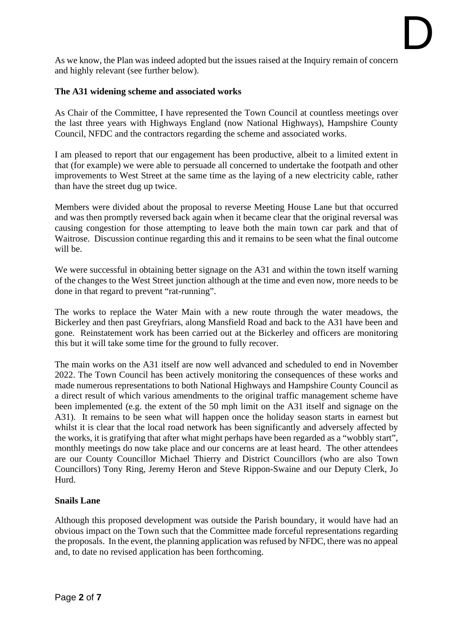As we know, the Plan was indeed adopted but the issues raised at the Inquiry remain of concern and highly relevant (see further below).

## **The A31 widening scheme and associated works**

As Chair of the Committee, I have represented the Town Council at countless meetings over the last three years with Highways England (now National Highways), Hampshire County Council, NFDC and the contractors regarding the scheme and associated works.

I am pleased to report that our engagement has been productive, albeit to a limited extent in that (for example) we were able to persuade all concerned to undertake the footpath and other improvements to West Street at the same time as the laying of a new electricity cable, rather than have the street dug up twice.

Members were divided about the proposal to reverse Meeting House Lane but that occurred and was then promptly reversed back again when it became clear that the original reversal was causing congestion for those attempting to leave both the main town car park and that of Waitrose. Discussion continue regarding this and it remains to be seen what the final outcome will be.

We were successful in obtaining better signage on the A31 and within the town itself warning of the changes to the West Street junction although at the time and even now, more needs to be done in that regard to prevent "rat-running".

The works to replace the Water Main with a new route through the water meadows, the Bickerley and then past Greyfriars, along Mansfield Road and back to the A31 have been and gone. Reinstatement work has been carried out at the Bickerley and officers are monitoring this but it will take some time for the ground to fully recover.

The main works on the A31 itself are now well advanced and scheduled to end in November 2022. The Town Council has been actively monitoring the consequences of these works and made numerous representations to both National Highways and Hampshire County Council as a direct result of which various amendments to the original traffic management scheme have been implemented (e.g. the extent of the 50 mph limit on the A31 itself and signage on the A31). It remains to be seen what will happen once the holiday season starts in earnest but whilst it is clear that the local road network has been significantly and adversely affected by the works, it is gratifying that after what might perhaps have been regarded as a "wobbly start", monthly meetings do now take place and our concerns are at least heard. The other attendees are our County Councillor Michael Thierry and District Councillors (who are also Town Councillors) Tony Ring, Jeremy Heron and Steve Rippon-Swaine and our Deputy Clerk, Jo Hurd.

## **Snails Lane**

Although this proposed development was outside the Parish boundary, it would have had an obvious impact on the Town such that the Committee made forceful representations regarding the proposals. In the event, the planning application was refused by NFDC, there was no appeal and, to date no revised application has been forthcoming.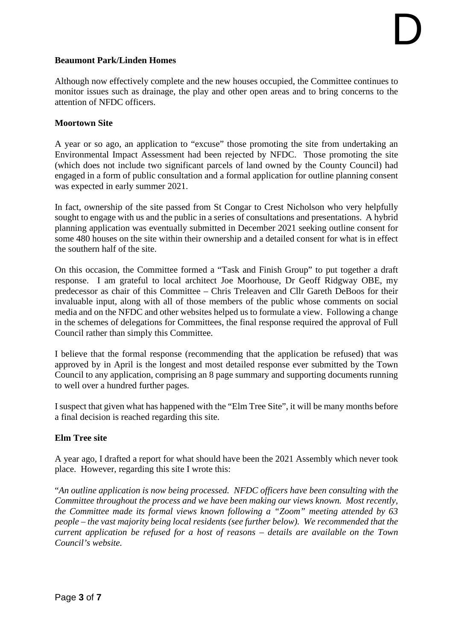## **Beaumont Park/Linden Homes**

Although now effectively complete and the new houses occupied, the Committee continues to monitor issues such as drainage, the play and other open areas and to bring concerns to the attention of NFDC officers.

## **Moortown Site**

A year or so ago, an application to "excuse" those promoting the site from undertaking an Environmental Impact Assessment had been rejected by NFDC. Those promoting the site (which does not include two significant parcels of land owned by the County Council) had engaged in a form of public consultation and a formal application for outline planning consent was expected in early summer 2021.

In fact, ownership of the site passed from St Congar to Crest Nicholson who very helpfully sought to engage with us and the public in a series of consultations and presentations. A hybrid planning application was eventually submitted in December 2021 seeking outline consent for some 480 houses on the site within their ownership and a detailed consent for what is in effect the southern half of the site.

On this occasion, the Committee formed a "Task and Finish Group" to put together a draft response. I am grateful to local architect Joe Moorhouse, Dr Geoff Ridgway OBE, my predecessor as chair of this Committee – Chris Treleaven and Cllr Gareth DeBoos for their invaluable input, along with all of those members of the public whose comments on social media and on the NFDC and other websites helped us to formulate a view. Following a change in the schemes of delegations for Committees, the final response required the approval of Full Council rather than simply this Committee.

I believe that the formal response (recommending that the application be refused) that was approved by in April is the longest and most detailed response ever submitted by the Town Council to any application, comprising an 8 page summary and supporting documents running to well over a hundred further pages.

I suspect that given what has happened with the "Elm Tree Site", it will be many months before a final decision is reached regarding this site.

## **Elm Tree site**

A year ago, I drafted a report for what should have been the 2021 Assembly which never took place. However, regarding this site I wrote this:

"*An outline application is now being processed. NFDC officers have been consulting with the Committee throughout the process and we have been making our views known. Most recently, the Committee made its formal views known following a "Zoom" meeting attended by 63 people – the vast majority being local residents (see further below). We recommended that the current application be refused for a host of reasons – details are available on the Town Council's website.*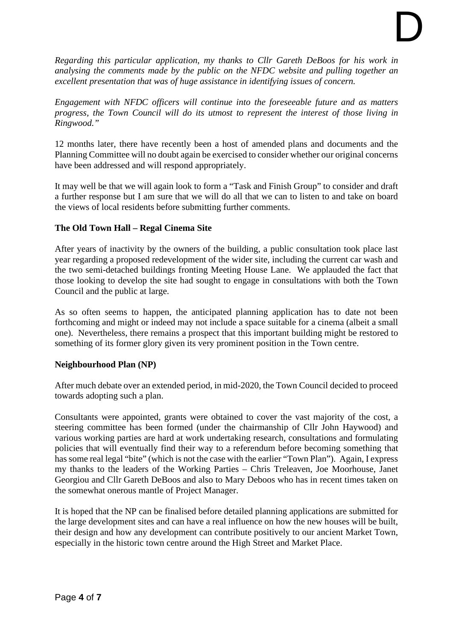*Regarding this particular application, my thanks to Cllr Gareth DeBoos for his work in analysing the comments made by the public on the NFDC website and pulling together an excellent presentation that was of huge assistance in identifying issues of concern.* 

*Engagement with NFDC officers will continue into the foreseeable future and as matters progress, the Town Council will do its utmost to represent the interest of those living in Ringwood."* 

12 months later, there have recently been a host of amended plans and documents and the Planning Committee will no doubt again be exercised to consider whether our original concerns have been addressed and will respond appropriately.

It may well be that we will again look to form a "Task and Finish Group" to consider and draft a further response but I am sure that we will do all that we can to listen to and take on board the views of local residents before submitting further comments.

## **The Old Town Hall – Regal Cinema Site**

After years of inactivity by the owners of the building, a public consultation took place last year regarding a proposed redevelopment of the wider site, including the current car wash and the two semi-detached buildings fronting Meeting House Lane. We applauded the fact that those looking to develop the site had sought to engage in consultations with both the Town Council and the public at large.

As so often seems to happen, the anticipated planning application has to date not been forthcoming and might or indeed may not include a space suitable for a cinema (albeit a small one). Nevertheless, there remains a prospect that this important building might be restored to something of its former glory given its very prominent position in the Town centre.

## **Neighbourhood Plan (NP)**

After much debate over an extended period, in mid-2020, the Town Council decided to proceed towards adopting such a plan.

Consultants were appointed, grants were obtained to cover the vast majority of the cost, a steering committee has been formed (under the chairmanship of Cllr John Haywood) and various working parties are hard at work undertaking research, consultations and formulating policies that will eventually find their way to a referendum before becoming something that has some real legal "bite" (which is not the case with the earlier "Town Plan"). Again, I express my thanks to the leaders of the Working Parties – Chris Treleaven, Joe Moorhouse, Janet Georgiou and Cllr Gareth DeBoos and also to Mary Deboos who has in recent times taken on the somewhat onerous mantle of Project Manager.

It is hoped that the NP can be finalised before detailed planning applications are submitted for the large development sites and can have a real influence on how the new houses will be built, their design and how any development can contribute positively to our ancient Market Town, especially in the historic town centre around the High Street and Market Place.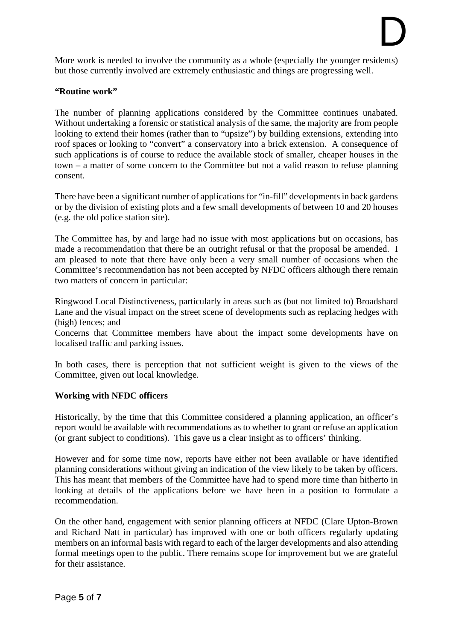More work is needed to involve the community as a whole (especially the younger residents) but those currently involved are extremely enthusiastic and things are progressing well.

## **"Routine work"**

The number of planning applications considered by the Committee continues unabated. Without undertaking a forensic or statistical analysis of the same, the majority are from people looking to extend their homes (rather than to "upsize") by building extensions, extending into roof spaces or looking to "convert" a conservatory into a brick extension. A consequence of such applications is of course to reduce the available stock of smaller, cheaper houses in the town – a matter of some concern to the Committee but not a valid reason to refuse planning consent.

There have been a significant number of applications for "in-fill" developments in back gardens or by the division of existing plots and a few small developments of between 10 and 20 houses (e.g. the old police station site).

The Committee has, by and large had no issue with most applications but on occasions, has made a recommendation that there be an outright refusal or that the proposal be amended. I am pleased to note that there have only been a very small number of occasions when the Committee's recommendation has not been accepted by NFDC officers although there remain two matters of concern in particular:

Ringwood Local Distinctiveness, particularly in areas such as (but not limited to) Broadshard Lane and the visual impact on the street scene of developments such as replacing hedges with (high) fences; and

Concerns that Committee members have about the impact some developments have on localised traffic and parking issues.

In both cases, there is perception that not sufficient weight is given to the views of the Committee, given out local knowledge.

## **Working with NFDC officers**

Historically, by the time that this Committee considered a planning application, an officer's report would be available with recommendations as to whether to grant or refuse an application (or grant subject to conditions). This gave us a clear insight as to officers' thinking.

However and for some time now, reports have either not been available or have identified planning considerations without giving an indication of the view likely to be taken by officers. This has meant that members of the Committee have had to spend more time than hitherto in looking at details of the applications before we have been in a position to formulate a recommendation.

On the other hand, engagement with senior planning officers at NFDC (Clare Upton-Brown and Richard Natt in particular) has improved with one or both officers regularly updating members on an informal basis with regard to each of the larger developments and also attending formal meetings open to the public. There remains scope for improvement but we are grateful for their assistance.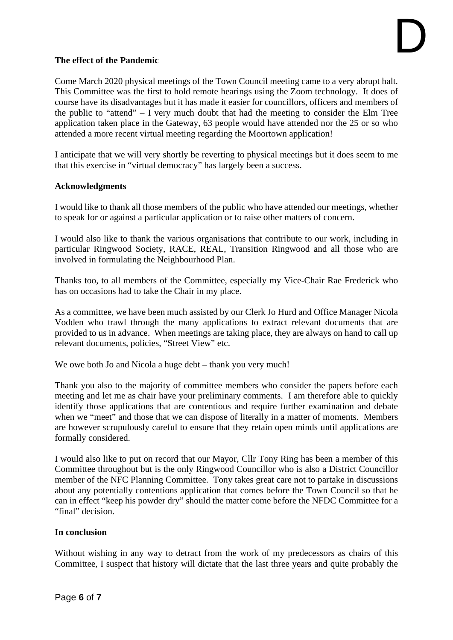## **The effect of the Pandemic**

Come March 2020 physical meetings of the Town Council meeting came to a very abrupt halt. This Committee was the first to hold remote hearings using the Zoom technology. It does of course have its disadvantages but it has made it easier for councillors, officers and members of the public to "attend"  $- I$  very much doubt that had the meeting to consider the Elm Tree application taken place in the Gateway, 63 people would have attended nor the 25 or so who attended a more recent virtual meeting regarding the Moortown application!

I anticipate that we will very shortly be reverting to physical meetings but it does seem to me that this exercise in "virtual democracy" has largely been a success.

## **Acknowledgments**

I would like to thank all those members of the public who have attended our meetings, whether to speak for or against a particular application or to raise other matters of concern.

I would also like to thank the various organisations that contribute to our work, including in particular Ringwood Society, RACE, REAL, Transition Ringwood and all those who are involved in formulating the Neighbourhood Plan.

Thanks too, to all members of the Committee, especially my Vice-Chair Rae Frederick who has on occasions had to take the Chair in my place.

As a committee, we have been much assisted by our Clerk Jo Hurd and Office Manager Nicola Vodden who trawl through the many applications to extract relevant documents that are provided to us in advance. When meetings are taking place, they are always on hand to call up relevant documents, policies, "Street View" etc.

We owe both Jo and Nicola a huge debt – thank you very much!

Thank you also to the majority of committee members who consider the papers before each meeting and let me as chair have your preliminary comments. I am therefore able to quickly identify those applications that are contentious and require further examination and debate when we "meet" and those that we can dispose of literally in a matter of moments. Members are however scrupulously careful to ensure that they retain open minds until applications are formally considered.

I would also like to put on record that our Mayor, Cllr Tony Ring has been a member of this Committee throughout but is the only Ringwood Councillor who is also a District Councillor member of the NFC Planning Committee. Tony takes great care not to partake in discussions about any potentially contentions application that comes before the Town Council so that he can in effect "keep his powder dry" should the matter come before the NFDC Committee for a "final" decision.

## **In conclusion**

Without wishing in any way to detract from the work of my predecessors as chairs of this Committee, I suspect that history will dictate that the last three years and quite probably the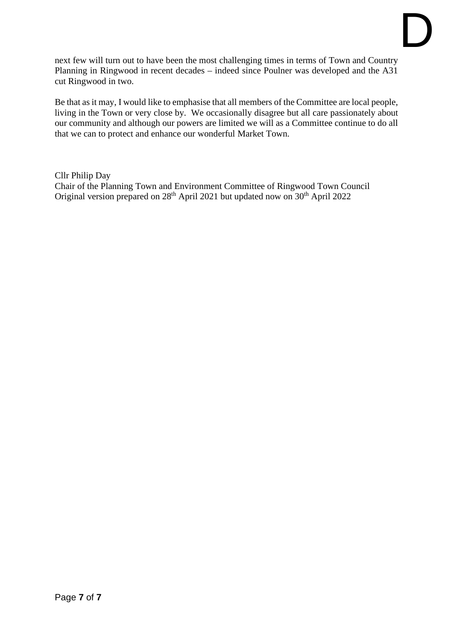next few will turn out to have been the most challenging times in terms of Town and Country Planning in Ringwood in recent decades – indeed since Poulner was developed and the A31 cut Ringwood in two.

Be that as it may, I would like to emphasise that all members of the Committee are local people, living in the Town or very close by. We occasionally disagree but all care passionately about our community and although our powers are limited we will as a Committee continue to do all that we can to protect and enhance our wonderful Market Town.

Cllr Philip Day

Chair of the Planning Town and Environment Committee of Ringwood Town Council Original version prepared on  $28<sup>th</sup>$  April 2021 but updated now on  $30<sup>th</sup>$  April 2022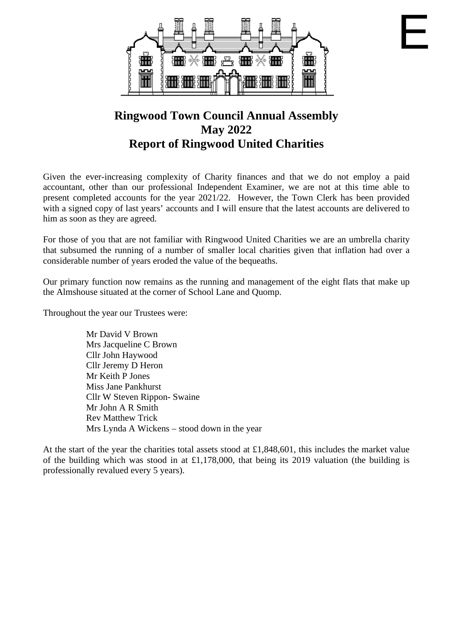

E

## **Ringwood Town Council Annual Assembly May 2022 Report of Ringwood United Charities**

Given the ever-increasing complexity of Charity finances and that we do not employ a paid accountant, other than our professional Independent Examiner, we are not at this time able to present completed accounts for the year 2021/22. However, the Town Clerk has been provided with a signed copy of last years' accounts and I will ensure that the latest accounts are delivered to him as soon as they are agreed.

For those of you that are not familiar with Ringwood United Charities we are an umbrella charity that subsumed the running of a number of smaller local charities given that inflation had over a considerable number of years eroded the value of the bequeaths.

Our primary function now remains as the running and management of the eight flats that make up the Almshouse situated at the corner of School Lane and Quomp.

Throughout the year our Trustees were:

Mr David V Brown Mrs Jacqueline C Brown Cllr John Haywood Cllr Jeremy D Heron Mr Keith P Jones Miss Jane Pankhurst Cllr W Steven Rippon- Swaine Mr John A R Smith Rev Matthew Trick Mrs Lynda A Wickens – stood down in the year

At the start of the year the charities total assets stood at  $\pounds1,848,601$ , this includes the market value of the building which was stood in at £1,178,000, that being its 2019 valuation (the building is professionally revalued every 5 years).